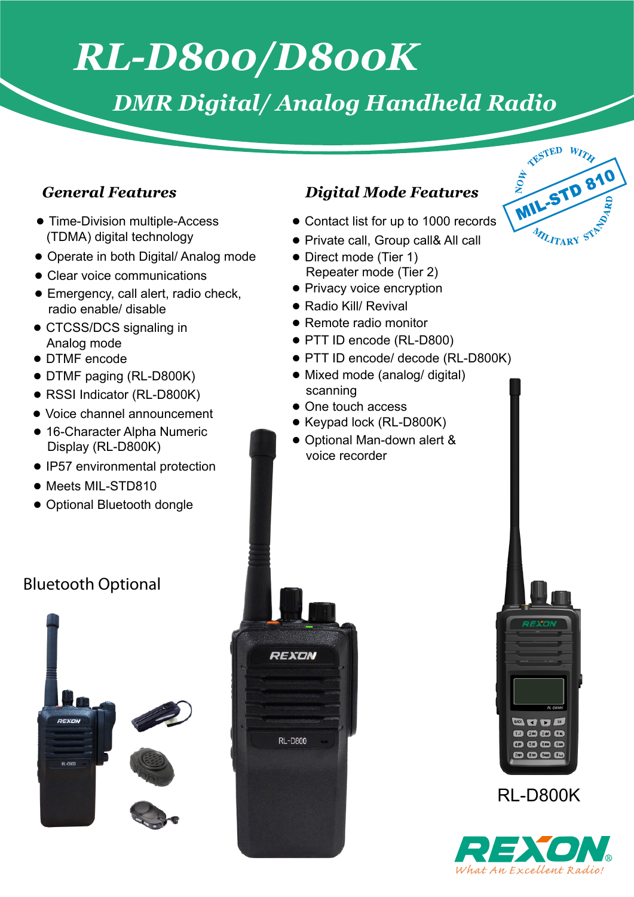# *RL-D800/D800K*

### *DMR Digital/ Analog Handheld Radio*

- Time-Division multiple-Access (TDMA) digital technology
- Operate in both Digital/ Analog mode
- Clear voice communications
- Emergency, call alert, radio check, radio enable/ disable
- CTCSS/DCS signaling in Analog mode
- DTMF encode
- DTMF paging (RL-D800K)
- RSSI Indicator (RL-D800K)
- Voice channel announcement
- 16-Character Alpha Numeric Display (RL-D800K)
- IP57 environmental protection
- Meets MIL-STD810
- Optional Bluetooth dongle

### **Bluetooth Optional**



#### *General Features Digital Mode Features*

- Contact list for up to 1000 records
- Private call, Group call& All call
- Direct mode (Tier 1) Repeater mode (Tier 2)
- Privacy voice encryption
- Radio Kill/ Revival
- Remote radio monitor
- PTT ID encode (RL-D800)
- PTT ID encode/ decode (RL-D800K)
- Mixed mode (analog/ digital) scanning
- One touch access
- Keypad lock (RL-D800K)
- Optional Man-down alert & voice recorder







RL-D800K